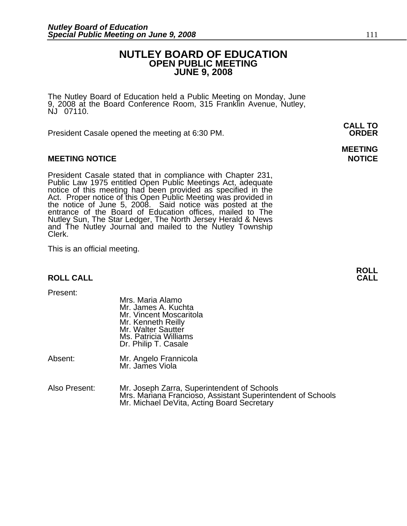### **NUTLEY BOARD OF EDUCATION OPEN PUBLIC MEETING JUNE 9, 2008**

The Nutley Board of Education held a Public Meeting on Monday, June 9, 2008 at the Board Conference Room, 315 Franklin Avenue, Nutley, NJ 07110.

President Casale opened the meeting at 6:30 PM. **ORDER**

#### **MEETING NOTICE NOTICE AND RESERVE ASSESS**

President Casale stated that in compliance with Chapter 231,<br>Public Law 1975 entitled Open Public Meetings Act, adequate<br>notice of this meeting had been provided as specified in the<br>Act. Proper notice of this Open Public M the notice of June 5, 2008. Said notice was posted at the<br>entrance of the Board of Education offices, mailed to The Nutley Sun, The Star Ledger, The North Jersey Herald & News and The Nutley Journal and mailed to the Nutley Township Clerk.

This is an official meeting.

## **ROLL ROLL CALL CALL**

Present:

|         | Mrs. Maria Alamo<br>Mr. James A. Kuchta<br>Mr. Vincent Moscaritola<br>Mr. Kenneth Reilly<br>Mr. Walter Sautter<br>Ms. Patricia Williams<br>Dr. Philip T. Casale |
|---------|-----------------------------------------------------------------------------------------------------------------------------------------------------------------|
| Absent: | Mr. Angelo Frannicola<br>Mr. James Viola                                                                                                                        |

Also Present: Mr. Joseph Zarra, Superintendent of Schools Mrs. Mariana Francioso, Assistant Superintendent of Schools Mr. Michael DeVita, Acting Board Secretary

**CALL TO** 

**MEETING**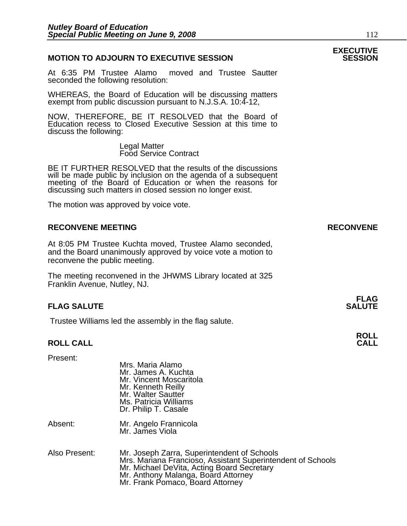#### **MOTION TO ADJOURN TO EXECUTIVE SESSION**

At 6:35 PM Trustee Alamo moved and Trustee Sautter seconded the following resolution:

WHEREAS, the Board of Education will be discussing matters exempt from public discussion pursuant to N.J.S.A. 10:4-12,

NOW, THEREFORE, BE IT RESOLVED that the Board of Education recess to Closed Executive Session at this time to discuss the following:

> Legal Matter Food Service Contract

BE IT FURTHER RESOLVED that the results of the discussions will be made public by inclusion on the agenda of a subsequent meeting of the Board of Education or when the reasons for discussing such matters in closed session no longer exist.

 The motion was approved by voice vote.

#### **RECONVENE MEETING RECONVENE**

At 8:05 PM Trustee Kuchta moved, Trustee Alamo seconded, and the Board unanimously approved by voice vote a motion to reconvene the public meeting.

The meeting reconvened in the JHWMS Library located at 325 Franklin Avenue, Nutley, NJ.

#### **FLAG SALUTE** SALUTE SALUTE SALUTE SALUTE SALUTE

Trustee Williams led the assembly in the flag salute.

## **ROLL ROLL CALL CALL**

Present:

|         | Mr. James A. Kuchta<br>Mr. Vincent Moscaritola<br>Mr. Kenneth Reilly<br>Mr. Walter Sautter<br>Ms. Patricia Williams<br>Dr. Philip T. Casale |
|---------|---------------------------------------------------------------------------------------------------------------------------------------------|
| Absent: | Mr. Angelo Frannicola<br>Mr. James Viola                                                                                                    |

Mrs. Maria Alamo

Also Present: Mr. Joseph Zarra, Superintendent of Schools Mrs. Mariana Francioso, Assistant Superintendent of Schools Mr. Michael DeVita, Acting Board Secretary Mr. Anthony Malanga, Board Attorney Mr. Frank Pomaco, Board Attorney

# **EXECUTIVE**

# **FLAG**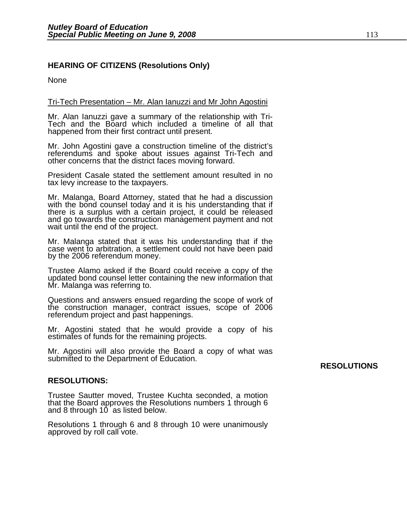### **HEARING OF CITIZENS (Resolutions Only)**

None

#### Tri-Tech Presentation – Mr. Alan Ianuzzi and Mr John Agostini

Mr. Alan Ianuzzi gave a summary of the relationship with Tri- Tech and the Board which included a timeline of all that happened from their first contract until present.

Mr. John Agostini gave a construction timeline of the district's referendums and spoke about issues against Tri-Tech and other concerns that the district faces moving forward.

President Casale stated the settlement amount resulted in no tax levy increase to the taxpayers.

Mr. Malanga, Board Attorney, stated that he had a discussion with the bond counsel today and it is his understanding that if there is a surplus with a certain project, it could be released<br>and go towards the construction management payment and not<br>wait until the end of the project.

Mr. Malanga stated that it was his understanding that if the case went to arbitration, a settlement could not have been paid by the 2006 referendum money.

Trustee Alamo asked if the Board could receive a copy of the updated bond counsel letter containing the new information that Mr. Malanga was referring to.

Questions and answers ensued regarding the scope of work of the construction manager, contract issues, scope of 2006 referendum project and past happenings.

Mr. Agostini stated that he would provide a copy of his estimates of funds for the remaining projects.

Mr. Agostini will also provide the Board a copy of what was submitted to the Department of Education. **RESOLUTIONS** 

#### **RESOLUTIONS:**

Trustee Sautter moved, Trustee Kuchta seconded, a motion that the Board approves the Resolutions numbers 1 through 6 and 8 through 10 as listed below.

Resolutions 1 through 6 and 8 through 10 were unanimously approved by roll call vote.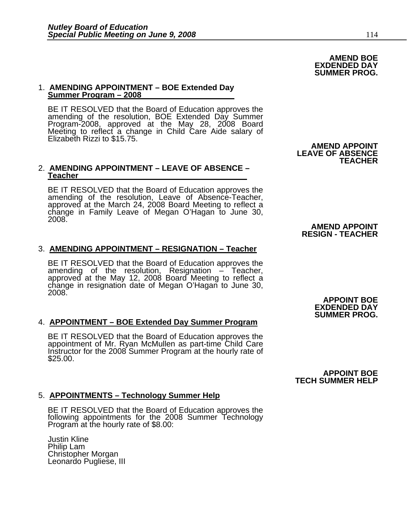#### 1. **AMENDING APPOINTMENT – BOE Extended Day Summer Program – 2008**

BE IT RESOLVED that the Board of Education approves the<br>amending of the resolution, BOE Extended Day Summer<br>Program-2008, approved at the May 28, 2008 Board<br>Meeting to reflect a change in Child Care Aide salary of<br>Elizabet

#### 2. **AMENDING APPOINTMENT – LEAVE OF ABSENCE – Teacher**

BE IT RESOLVED that the Board of Education approves the amending of the resolution, Leave of Absence-Teacher, approved at the March 24, 2008 Board Meeting to reflect a change in Family Leave of Megan O'Hagan to June 30, 2008.

#### 3. **AMENDING APPOINTMENT – RESIGNATION – Teacher**

BE IT RESOLVED that the Board of Education approves the amending of the resolution, Resignation – Teacher, approved at the May 12, 2008 Board Meeting to reflect a change in resignation date of Megan O'Hagan to June 30, 2008.

#### 4. **APPOINTMENT – BOE Extended Day Summer Program**

BE IT RESOLVED that the Board of Education approves the appointment of Mr. Ryan McMullen as part-time Child Care Instructor for the 2008 Summer Program at the hourly rate of \$25.00.

#### 5. **APPOINTMENTS – Technology Summer Help**

BE IT RESOLVED that the Board of Education approves the following appointments for the 2008 Summer Technology Program at the hourly rate of \$8.00:

Justin Kline Philip Lam Christopher Morgan Leonardo Pugliese, III

## **AMEND APPOINT LEAVE OF ABSENCE**

**TEACHER** 

#### **AMEND APPOINT RESIGN - TEACHER**

**APPOINT BOE EXDENDED DAY SUMMER PROG.** 

#### **APPOINT BOE TECH SUMMER HELP**

**AMEND BOE EXDENDED DAY SUMMER PROG.**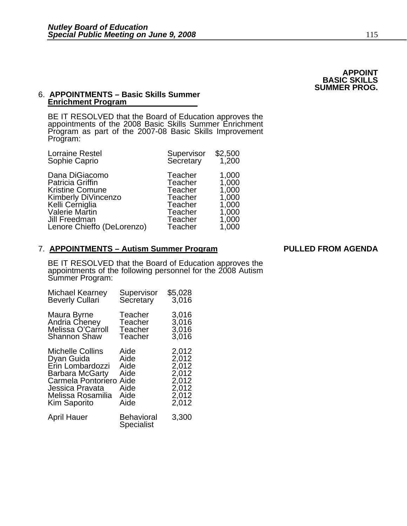**APPOINT BASIC SKILLS SUMMER PROG.** 

#### 6. **APPOINTMENTS – Basic Skills Summer Enrichment Program**

BE IT RESOLVED that the Board of Education approves the appointments of the 2008 Basic Skills Summer Enrichment Program as part of the 2007-08 Basic Skills Improvement<br>Program:

| <b>Lorraine Restel</b><br>Sophie Caprio                                                                                                                                        | Supervisor<br>Secretary                                                                                   | \$2,500<br>1,200                                                     |
|--------------------------------------------------------------------------------------------------------------------------------------------------------------------------------|-----------------------------------------------------------------------------------------------------------|----------------------------------------------------------------------|
| Dana DiGiacomo<br><b>Patricia Griffin</b><br><b>Kristine Comune</b><br>Kimberly DiVincenzo<br>Kelli Cerniglia<br>Valerie Martin<br>Jill Freedman<br>Lenore Chieffo (DeLorenzo) | Teacher<br>Teacher<br>Teacher<br>Teacher<br><b>Teacher</b><br><b>Teacher</b><br>Teacher<br><b>Teacher</b> | 1,000<br>1,000<br>1,000<br>1,000<br>1,000<br>1,000<br>1,000<br>1,000 |
|                                                                                                                                                                                |                                                                                                           |                                                                      |

#### 7. **APPOINTMENTS – Autism Summer Program PULLED FROM AGENDA**

BE IT RESOLVED that the Board of Education approves the appointments of the following personnel for the 2008 Autism Summer Program:

| Michael Kearney        | Supervisor                             | \$5,028 |
|------------------------|----------------------------------------|---------|
| <b>Beverly Cullari</b> | Secretary                              | 3,016   |
| Maura Byrne            | Teacher                                | 3,016   |
| Andria Cheney          | Teacher                                | 3,016   |
| Melissa O'Carroll      | Teacher                                | 3,016   |
| <b>Shannon Shaw</b>    | Teacher                                | 3,016   |
| Michelle Collins       | Aide                                   | 2,012   |
| Dyan Guida             | Aide                                   | 2,012   |
| Erin Lombardozzi       | Aide                                   | 2,012   |
| <b>Barbara McGarty</b> | Aide                                   | 2,012   |
| Carmela Pontoriero     | Aide                                   | 2,012   |
| Jessica Pravata        | Aide                                   | 2,012   |
| Melissa Rosamilia      | Aide                                   | 2,012   |
| Kim Saporito           | Aide                                   | 2,012   |
| <b>April Hauer</b>     | <b>Behavioral</b><br><b>Specialist</b> | 3,300   |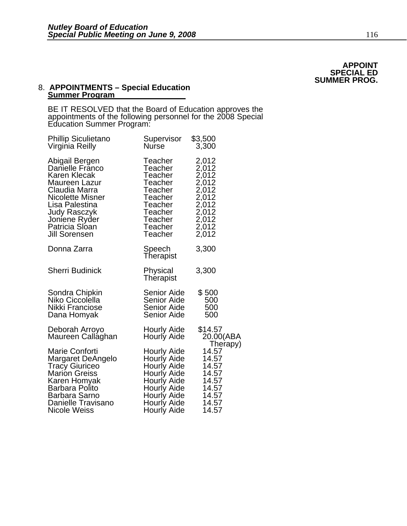**APPOINT SPECIAL ED SUMMER PROG.**

#### 8. **APPOINTMENTS – Special Education Summer Program**

BE IT RESOLVED that the Board of Education approves the appointments of the following personnel for the 2008 Special Education Summer Program:

| <b>Phillip Siculietano</b>          | Supervisor                        | \$3,500                          |
|-------------------------------------|-----------------------------------|----------------------------------|
| Virginia Reilly                     | Nurse                             | 3,300                            |
| Abigail Bergen                      | Teacher                           | 2,012                            |
| Danielle Franco                     | Teacher                           | 2,012                            |
| Karen Klecak                        | Teacher                           | 2,012                            |
| Maureen Lazur                       | Teacher                           | 2,012                            |
| Claudia Marra                       | Teacher                           | 2,012                            |
| <b>Nicolette Misner</b>             | Teacher                           | 2,012                            |
| Lisa Palestina                      | Teacher                           | 2,012                            |
| Judy Rasczyk                        | Teacher                           | 2,012                            |
| Joniene Ryder                       | Teacher                           | 2,012                            |
| Patricia Sloan                      | Teacher                           | 2,012                            |
| Jill Sorensen                       | Teacher                           | 2,012                            |
| Donna Zarra                         | Speech<br>Therapist               | 3,300                            |
| <b>Sherri Budinick</b>              | Physical<br>Therapist             | 3,300                            |
| Sondra Chipkin                      | <b>Senior Aide</b>                | \$500                            |
| Niko Ciccolella                     | Senior Aide                       | 500                              |
| Nikki Franciose                     | Senior Aide                       | 500                              |
| Dana Homyak                         | <b>Senior Aide</b>                | 500                              |
| Deborah Arroyo<br>Maureen Callaghan | Hourly Aide<br><b>Hourly Aide</b> | \$14.57<br>20.00(ABA<br>Therapy) |
| <b>Marie Conforti</b>               | Hourly Aide                       | 14.57                            |
| Margaret DeAngelo                   | Hourly Aide                       | 14.57                            |
| <b>Tracy Giuriceo</b>               | Hourly Aide                       | 14.57                            |
| <b>Marion Greiss</b>                | Hourly Aide                       | 14.57                            |
| Karen Homyak                        | Hourly Aide                       | 14.57                            |
| Barbara Polito                      | Hourly Aide                       | 14.57                            |
| <b>Barbara Sarno</b>                | Hourly Aide                       | 14.57                            |
| Danielle Travisano                  | Hourly Aide                       | 14.57                            |
| Nicole Weiss                        | Hourly Aide                       | 14.57                            |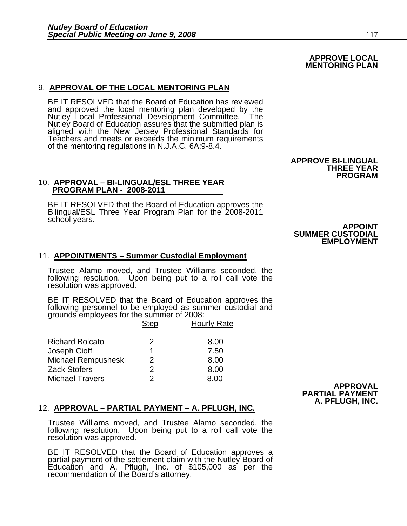### 9. **APPROVAL OF THE LOCAL MENTORING PLAN**

BE IT RESOLVED that the Board of Education has reviewed and approved the local mentoring plan developed by the Nutley Local Professional Development Committee. The<br>Nutley Board of Education assures that the submitted plan is<br>aligned with the New Jersey Professional Standards for Teachers and meets or exceeds the minimum requirements of the mentoring regulations in N.J.A.C. 6A:9-8.4.

10. **APPROVAL – BI-LINGUAL/ESL THREE YEAR PROGRAM PLAN - 2008-2011**

BE IT RESOLVED that the Board of Education approves the<br>Bilingual/ESL Three Year Program Plan for the 2008-2011<br>school years. **APPOINT** 

#### 11. **APPOINTMENTS – Summer Custodial Employment**

Trustee Alamo moved, and Trustee Williams seconded, the following resolution. Upon being put to a roll call vote the resolution was approved.

BE IT RESOLVED that the Board of Education approves the following personnel to be employed as summer custodial and grounds employees for the summer of 2008:

|                        | <b>Step</b>   | <b>Hourly Rate</b> |
|------------------------|---------------|--------------------|
| <b>Richard Bolcato</b> | 2             | 8.00               |
| Joseph Cioffi          | 1             | 7.50               |
| Michael Rempusheski    | $\mathcal{P}$ | 8.00               |
| <b>Zack Stofers</b>    | 2             | 8.00               |
| <b>Michael Travers</b> | 2             | 8 N N              |

#### 12. **APPROVAL – PARTIAL PAYMENT – A. PFLUGH, INC.**

Trustee Williams moved, and Trustee Alamo seconded, the following resolution. Upon being put to a roll call vote the resolution was approved.

BE IT RESOLVED that the Board of Education approves a partial payment of the settlement claim with the Nutley Board of Education and A. Pflugh, Inc. of \$105,000 as per the recommendation of the Board's attorney.

## **SUMMER CUSTODIAL EMPLOYMENT**

**APPROVE BI-LINGUAL** 

**THREE YEAR PROGRAM**

#### **APPROVAL PARTIAL PAYMENT A. PFLUGH, INC.**

#### **APPROVE LOCAL MENTORING PLAN**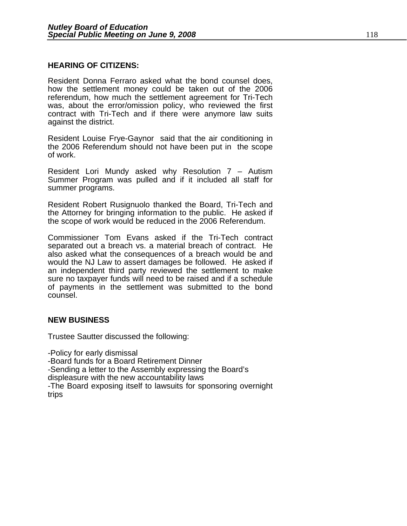#### **HEARING OF CITIZENS:**

Resident Donna Ferraro asked what the bond counsel does, how the settlement money could be taken out of the 2006 referendum, how much the settlement agreement for Tri-Tech was, about the error/omission policy, who reviewed the first contract with Tri-Tech and if there were anymore law suits against the district.

Resident Louise Frye-Gaynor said that the air conditioning in the 2006 Referendum should not have been put in the scope of work.

Resident Lori Mundy asked why Resolution 7 – Autism Summer Program was pulled and if it included all staff for summer programs.

Resident Robert Rusignuolo thanked the Board, Tri-Tech and the Attorney for bringing information to the public. He asked if the scope of work would be reduced in the 2006 Referendum.

Commissioner Tom Evans asked if the Tri-Tech contract separated out a breach vs. a material breach of contract. He also asked what the consequences of a breach would be and would the NJ Law to assert damages be followed. He asked if an independent third party reviewed the settlement to make sure no taxpayer funds will need to be raised and if a schedule of payments in the settlement was submitted to the bond counsel.

#### **NEW BUSINESS**

Trustee Sautter discussed the following:

-Policy for early dismissal -Board funds for a Board Retirement Dinner -Sending a letter to the Assembly expressing the Board's displeasure with the new accountability laws -The Board exposing itself to lawsuits for sponsoring overnight trips